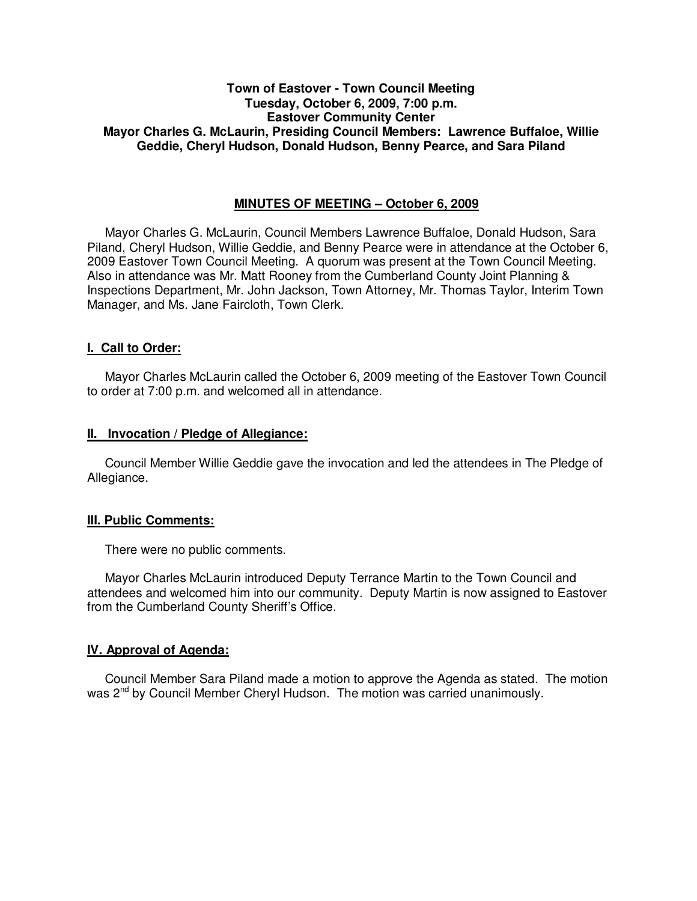# **Town of Eastover - Town Council Meeting Tuesday, October 6, 2009, 7:00 p.m. Eastover Community Center Mayor Charles G. McLaurin, Presiding Council Members: Lawrence Buffaloe, Willie Geddie, Cheryl Hudson, Donald Hudson, Benny Pearce, and Sara Piland**

# **MINUTES OF MEETING – October 6, 2009**

Mayor Charles G. McLaurin, Council Members Lawrence Buffaloe, Donald Hudson, Sara Piland, Cheryl Hudson, Willie Geddie, and Benny Pearce were in attendance at the October 6, 2009 Eastover Town Council Meeting. A quorum was present at the Town Council Meeting. Also in attendance was Mr. Matt Rooney from the Cumberland County Joint Planning & Inspections Department, Mr. John Jackson, Town Attorney, Mr. Thomas Taylor, Interim Town Manager, and Ms. Jane Faircloth, Town Clerk.

### **I. Call to Order:**

Mayor Charles McLaurin called the October 6, 2009 meeting of the Eastover Town Council to order at 7:00 p.m. and welcomed all in attendance.

### **II. Invocation / Pledge of Allegiance:**

 Council Member Willie Geddie gave the invocation and led the attendees in The Pledge of Allegiance.

#### **III. Public Comments:**

There were no public comments.

 Mayor Charles McLaurin introduced Deputy Terrance Martin to the Town Council and attendees and welcomed him into our community. Deputy Martin is now assigned to Eastover from the Cumberland County Sheriff's Office.

## **IV. Approval of Agenda:**

 Council Member Sara Piland made a motion to approve the Agenda as stated. The motion was 2<sup>nd</sup> by Council Member Cheryl Hudson. The motion was carried unanimously.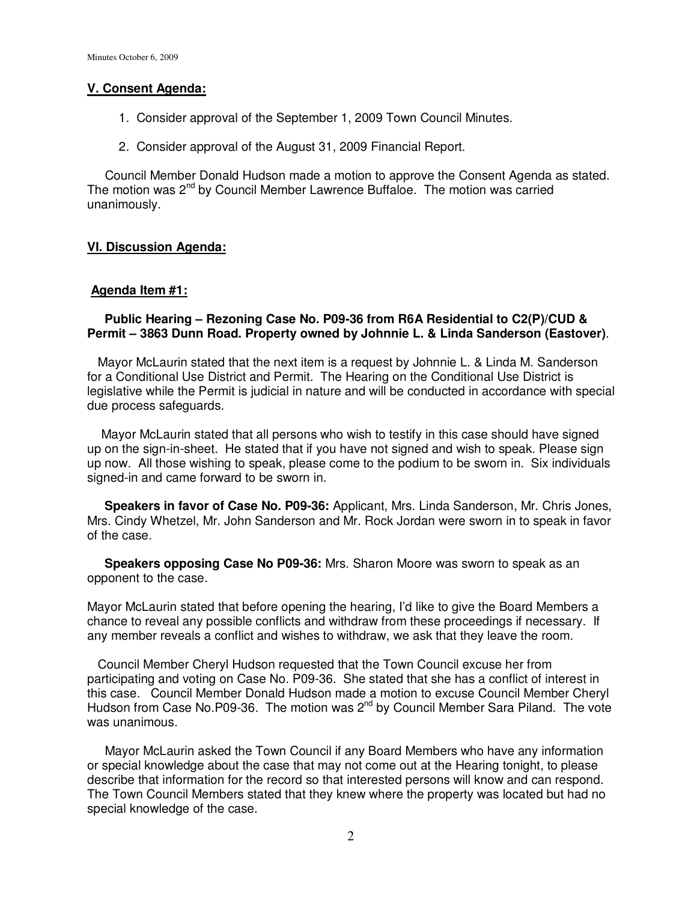### **V. Consent Agenda:**

- 1. Consider approval of the September 1, 2009 Town Council Minutes.
- 2. Consider approval of the August 31, 2009 Financial Report.

 Council Member Donald Hudson made a motion to approve the Consent Agenda as stated. The motion was 2<sup>nd</sup> by Council Member Lawrence Buffaloe. The motion was carried unanimously.

## **VI. Discussion Agenda:**

#### **Agenda Item #1:**

### **Public Hearing – Rezoning Case No. P09-36 from R6A Residential to C2(P)/CUD & Permit – 3863 Dunn Road. Property owned by Johnnie L. & Linda Sanderson (Eastover)**.

 Mayor McLaurin stated that the next item is a request by Johnnie L. & Linda M. Sanderson for a Conditional Use District and Permit. The Hearing on the Conditional Use District is legislative while the Permit is judicial in nature and will be conducted in accordance with special due process safeguards.

 Mayor McLaurin stated that all persons who wish to testify in this case should have signed up on the sign-in-sheet. He stated that if you have not signed and wish to speak. Please sign up now. All those wishing to speak, please come to the podium to be sworn in. Six individuals signed-in and came forward to be sworn in.

 **Speakers in favor of Case No. P09-36:** Applicant, Mrs. Linda Sanderson, Mr. Chris Jones, Mrs. Cindy Whetzel, Mr. John Sanderson and Mr. Rock Jordan were sworn in to speak in favor of the case.

 **Speakers opposing Case No P09-36:** Mrs. Sharon Moore was sworn to speak as an opponent to the case.

Mayor McLaurin stated that before opening the hearing, I'd like to give the Board Members a chance to reveal any possible conflicts and withdraw from these proceedings if necessary. If any member reveals a conflict and wishes to withdraw, we ask that they leave the room.

 Council Member Cheryl Hudson requested that the Town Council excuse her from participating and voting on Case No. P09-36. She stated that she has a conflict of interest in this case. Council Member Donald Hudson made a motion to excuse Council Member Cheryl Hudson from Case No. P09-36. The motion was  $2^{nd}$  by Council Member Sara Piland. The vote was unanimous.

 Mayor McLaurin asked the Town Council if any Board Members who have any information or special knowledge about the case that may not come out at the Hearing tonight, to please describe that information for the record so that interested persons will know and can respond. The Town Council Members stated that they knew where the property was located but had no special knowledge of the case.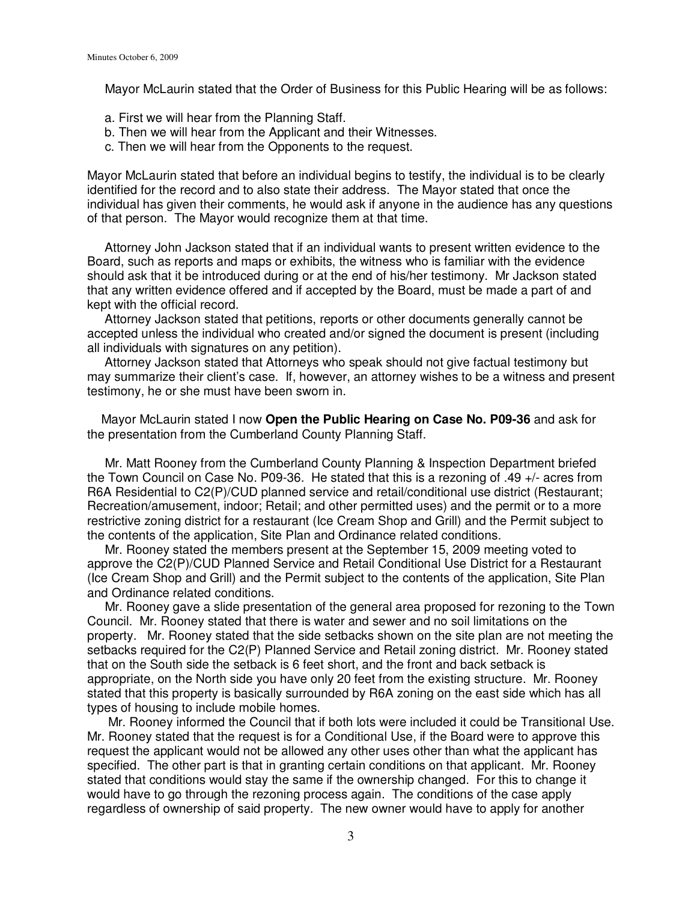Mayor McLaurin stated that the Order of Business for this Public Hearing will be as follows:

- a. First we will hear from the Planning Staff.
- b. Then we will hear from the Applicant and their Witnesses.
- c. Then we will hear from the Opponents to the request.

Mayor McLaurin stated that before an individual begins to testify, the individual is to be clearly identified for the record and to also state their address. The Mayor stated that once the individual has given their comments, he would ask if anyone in the audience has any questions of that person. The Mayor would recognize them at that time.

 Attorney John Jackson stated that if an individual wants to present written evidence to the Board, such as reports and maps or exhibits, the witness who is familiar with the evidence should ask that it be introduced during or at the end of his/her testimony. Mr Jackson stated that any written evidence offered and if accepted by the Board, must be made a part of and kept with the official record.

 Attorney Jackson stated that petitions, reports or other documents generally cannot be accepted unless the individual who created and/or signed the document is present (including all individuals with signatures on any petition).

 Attorney Jackson stated that Attorneys who speak should not give factual testimony but may summarize their client's case. If, however, an attorney wishes to be a witness and present testimony, he or she must have been sworn in.

 Mayor McLaurin stated I now **Open the Public Hearing on Case No. P09-36** and ask for the presentation from the Cumberland County Planning Staff.

 Mr. Matt Rooney from the Cumberland County Planning & Inspection Department briefed the Town Council on Case No. P09-36. He stated that this is a rezoning of .49 +/- acres from R6A Residential to C2(P)/CUD planned service and retail/conditional use district (Restaurant; Recreation/amusement, indoor; Retail; and other permitted uses) and the permit or to a more restrictive zoning district for a restaurant (Ice Cream Shop and Grill) and the Permit subject to the contents of the application, Site Plan and Ordinance related conditions.

 Mr. Rooney stated the members present at the September 15, 2009 meeting voted to approve the C2(P)/CUD Planned Service and Retail Conditional Use District for a Restaurant (Ice Cream Shop and Grill) and the Permit subject to the contents of the application, Site Plan and Ordinance related conditions.

 Mr. Rooney gave a slide presentation of the general area proposed for rezoning to the Town Council. Mr. Rooney stated that there is water and sewer and no soil limitations on the property. Mr. Rooney stated that the side setbacks shown on the site plan are not meeting the setbacks required for the C2(P) Planned Service and Retail zoning district. Mr. Rooney stated that on the South side the setback is 6 feet short, and the front and back setback is appropriate, on the North side you have only 20 feet from the existing structure. Mr. Rooney stated that this property is basically surrounded by R6A zoning on the east side which has all types of housing to include mobile homes.

 Mr. Rooney informed the Council that if both lots were included it could be Transitional Use. Mr. Rooney stated that the request is for a Conditional Use, if the Board were to approve this request the applicant would not be allowed any other uses other than what the applicant has specified. The other part is that in granting certain conditions on that applicant. Mr. Rooney stated that conditions would stay the same if the ownership changed. For this to change it would have to go through the rezoning process again. The conditions of the case apply regardless of ownership of said property. The new owner would have to apply for another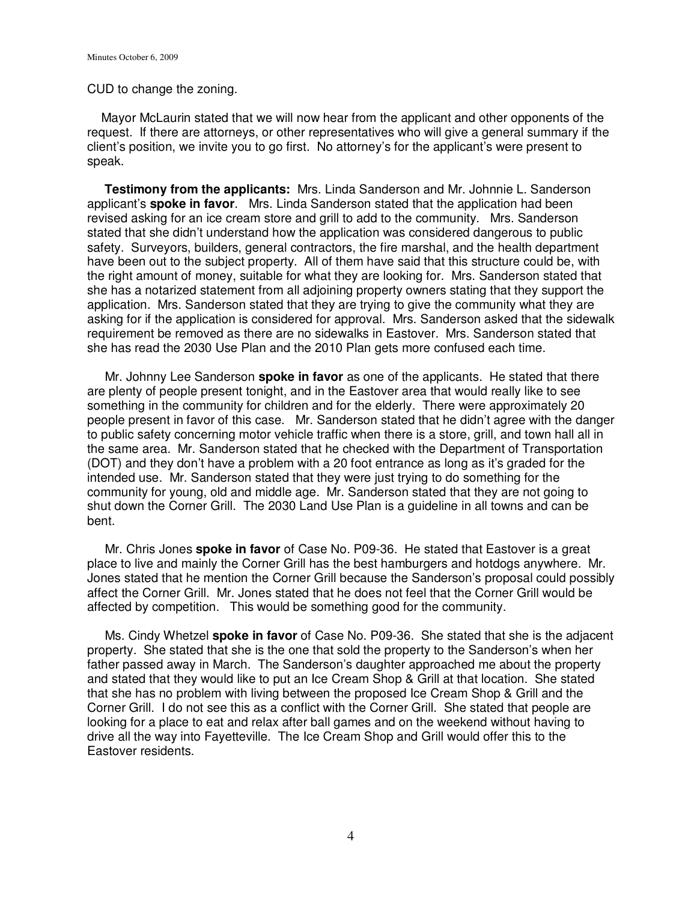### CUD to change the zoning.

 Mayor McLaurin stated that we will now hear from the applicant and other opponents of the request. If there are attorneys, or other representatives who will give a general summary if the client's position, we invite you to go first. No attorney's for the applicant's were present to speak.

 **Testimony from the applicants:** Mrs. Linda Sanderson and Mr. Johnnie L. Sanderson applicant's **spoke in favor**. Mrs. Linda Sanderson stated that the application had been revised asking for an ice cream store and grill to add to the community. Mrs. Sanderson stated that she didn't understand how the application was considered dangerous to public safety. Surveyors, builders, general contractors, the fire marshal, and the health department have been out to the subject property. All of them have said that this structure could be, with the right amount of money, suitable for what they are looking for. Mrs. Sanderson stated that she has a notarized statement from all adjoining property owners stating that they support the application. Mrs. Sanderson stated that they are trying to give the community what they are asking for if the application is considered for approval. Mrs. Sanderson asked that the sidewalk requirement be removed as there are no sidewalks in Eastover. Mrs. Sanderson stated that she has read the 2030 Use Plan and the 2010 Plan gets more confused each time.

 Mr. Johnny Lee Sanderson **spoke in favor** as one of the applicants. He stated that there are plenty of people present tonight, and in the Eastover area that would really like to see something in the community for children and for the elderly. There were approximately 20 people present in favor of this case. Mr. Sanderson stated that he didn't agree with the danger to public safety concerning motor vehicle traffic when there is a store, grill, and town hall all in the same area. Mr. Sanderson stated that he checked with the Department of Transportation (DOT) and they don't have a problem with a 20 foot entrance as long as it's graded for the intended use. Mr. Sanderson stated that they were just trying to do something for the community for young, old and middle age. Mr. Sanderson stated that they are not going to shut down the Corner Grill. The 2030 Land Use Plan is a guideline in all towns and can be bent.

 Mr. Chris Jones **spoke in favor** of Case No. P09-36. He stated that Eastover is a great place to live and mainly the Corner Grill has the best hamburgers and hotdogs anywhere. Mr. Jones stated that he mention the Corner Grill because the Sanderson's proposal could possibly affect the Corner Grill. Mr. Jones stated that he does not feel that the Corner Grill would be affected by competition. This would be something good for the community.

 Ms. Cindy Whetzel **spoke in favor** of Case No. P09-36. She stated that she is the adjacent property. She stated that she is the one that sold the property to the Sanderson's when her father passed away in March. The Sanderson's daughter approached me about the property and stated that they would like to put an Ice Cream Shop & Grill at that location. She stated that she has no problem with living between the proposed Ice Cream Shop & Grill and the Corner Grill. I do not see this as a conflict with the Corner Grill. She stated that people are looking for a place to eat and relax after ball games and on the weekend without having to drive all the way into Fayetteville. The Ice Cream Shop and Grill would offer this to the Eastover residents.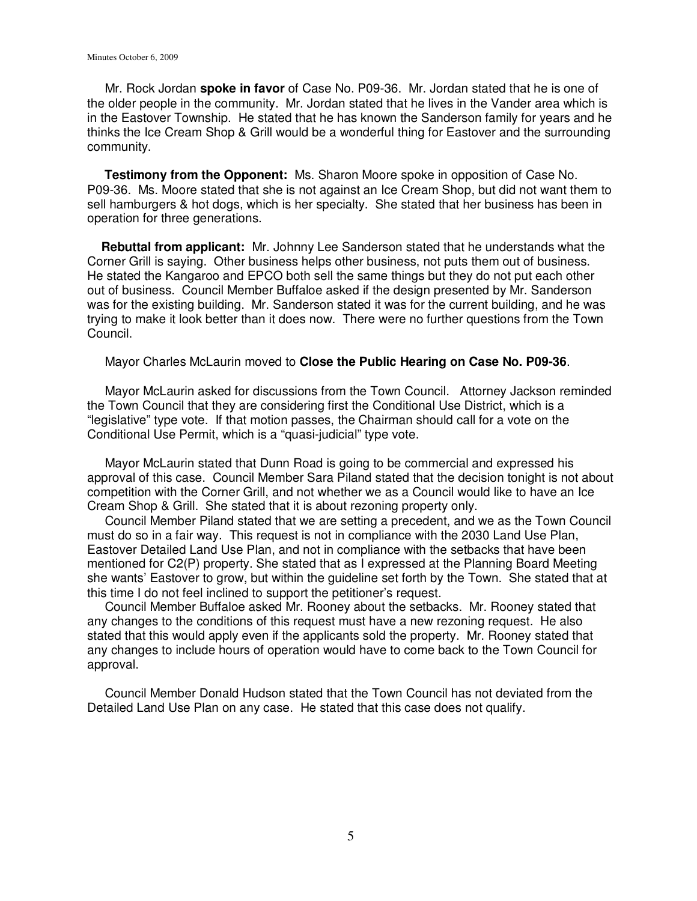Mr. Rock Jordan **spoke in favor** of Case No. P09-36. Mr. Jordan stated that he is one of the older people in the community. Mr. Jordan stated that he lives in the Vander area which is in the Eastover Township. He stated that he has known the Sanderson family for years and he thinks the Ice Cream Shop & Grill would be a wonderful thing for Eastover and the surrounding community.

 **Testimony from the Opponent:** Ms. Sharon Moore spoke in opposition of Case No. P09-36. Ms. Moore stated that she is not against an Ice Cream Shop, but did not want them to sell hamburgers & hot dogs, which is her specialty. She stated that her business has been in operation for three generations.

 **Rebuttal from applicant:** Mr. Johnny Lee Sanderson stated that he understands what the Corner Grill is saying. Other business helps other business, not puts them out of business. He stated the Kangaroo and EPCO both sell the same things but they do not put each other out of business. Council Member Buffaloe asked if the design presented by Mr. Sanderson was for the existing building. Mr. Sanderson stated it was for the current building, and he was trying to make it look better than it does now. There were no further questions from the Town Council.

Mayor Charles McLaurin moved to **Close the Public Hearing on Case No. P09-36**.

 Mayor McLaurin asked for discussions from the Town Council. Attorney Jackson reminded the Town Council that they are considering first the Conditional Use District, which is a "legislative" type vote. If that motion passes, the Chairman should call for a vote on the Conditional Use Permit, which is a "quasi-judicial" type vote.

 Mayor McLaurin stated that Dunn Road is going to be commercial and expressed his approval of this case. Council Member Sara Piland stated that the decision tonight is not about competition with the Corner Grill, and not whether we as a Council would like to have an Ice Cream Shop & Grill. She stated that it is about rezoning property only.

 Council Member Piland stated that we are setting a precedent, and we as the Town Council must do so in a fair way. This request is not in compliance with the 2030 Land Use Plan, Eastover Detailed Land Use Plan, and not in compliance with the setbacks that have been mentioned for C2(P) property. She stated that as I expressed at the Planning Board Meeting she wants' Eastover to grow, but within the guideline set forth by the Town. She stated that at this time I do not feel inclined to support the petitioner's request.

 Council Member Buffaloe asked Mr. Rooney about the setbacks. Mr. Rooney stated that any changes to the conditions of this request must have a new rezoning request. He also stated that this would apply even if the applicants sold the property. Mr. Rooney stated that any changes to include hours of operation would have to come back to the Town Council for approval.

 Council Member Donald Hudson stated that the Town Council has not deviated from the Detailed Land Use Plan on any case. He stated that this case does not qualify.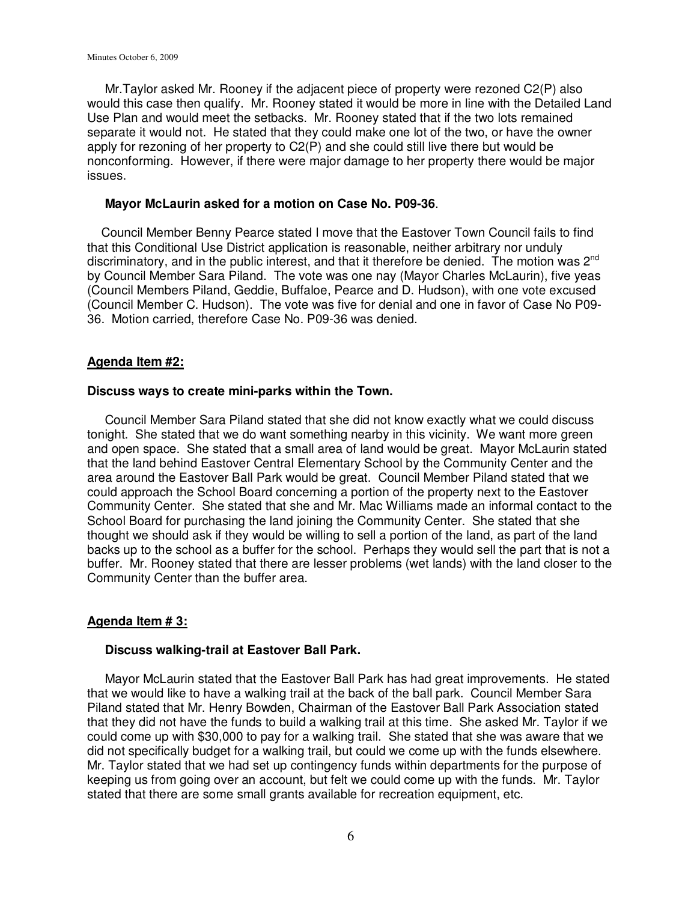Mr.Taylor asked Mr. Rooney if the adjacent piece of property were rezoned C2(P) also would this case then qualify. Mr. Rooney stated it would be more in line with the Detailed Land Use Plan and would meet the setbacks. Mr. Rooney stated that if the two lots remained separate it would not. He stated that they could make one lot of the two, or have the owner apply for rezoning of her property to C2(P) and she could still live there but would be nonconforming. However, if there were major damage to her property there would be major issues.

#### **Mayor McLaurin asked for a motion on Case No. P09-36**.

 Council Member Benny Pearce stated I move that the Eastover Town Council fails to find that this Conditional Use District application is reasonable, neither arbitrary nor unduly discriminatory, and in the public interest, and that it therefore be denied. The motion was 2<sup>nd</sup> by Council Member Sara Piland. The vote was one nay (Mayor Charles McLaurin), five yeas (Council Members Piland, Geddie, Buffaloe, Pearce and D. Hudson), with one vote excused (Council Member C. Hudson). The vote was five for denial and one in favor of Case No P09- 36. Motion carried, therefore Case No. P09-36 was denied.

### **Agenda Item #2:**

#### **Discuss ways to create mini-parks within the Town.**

 Council Member Sara Piland stated that she did not know exactly what we could discuss tonight. She stated that we do want something nearby in this vicinity. We want more green and open space. She stated that a small area of land would be great. Mayor McLaurin stated that the land behind Eastover Central Elementary School by the Community Center and the area around the Eastover Ball Park would be great. Council Member Piland stated that we could approach the School Board concerning a portion of the property next to the Eastover Community Center. She stated that she and Mr. Mac Williams made an informal contact to the School Board for purchasing the land joining the Community Center. She stated that she thought we should ask if they would be willing to sell a portion of the land, as part of the land backs up to the school as a buffer for the school. Perhaps they would sell the part that is not a buffer. Mr. Rooney stated that there are lesser problems (wet lands) with the land closer to the Community Center than the buffer area.

## **Agenda Item # 3:**

## **Discuss walking-trail at Eastover Ball Park.**

 Mayor McLaurin stated that the Eastover Ball Park has had great improvements. He stated that we would like to have a walking trail at the back of the ball park. Council Member Sara Piland stated that Mr. Henry Bowden, Chairman of the Eastover Ball Park Association stated that they did not have the funds to build a walking trail at this time. She asked Mr. Taylor if we could come up with \$30,000 to pay for a walking trail. She stated that she was aware that we did not specifically budget for a walking trail, but could we come up with the funds elsewhere. Mr. Taylor stated that we had set up contingency funds within departments for the purpose of keeping us from going over an account, but felt we could come up with the funds. Mr. Taylor stated that there are some small grants available for recreation equipment, etc.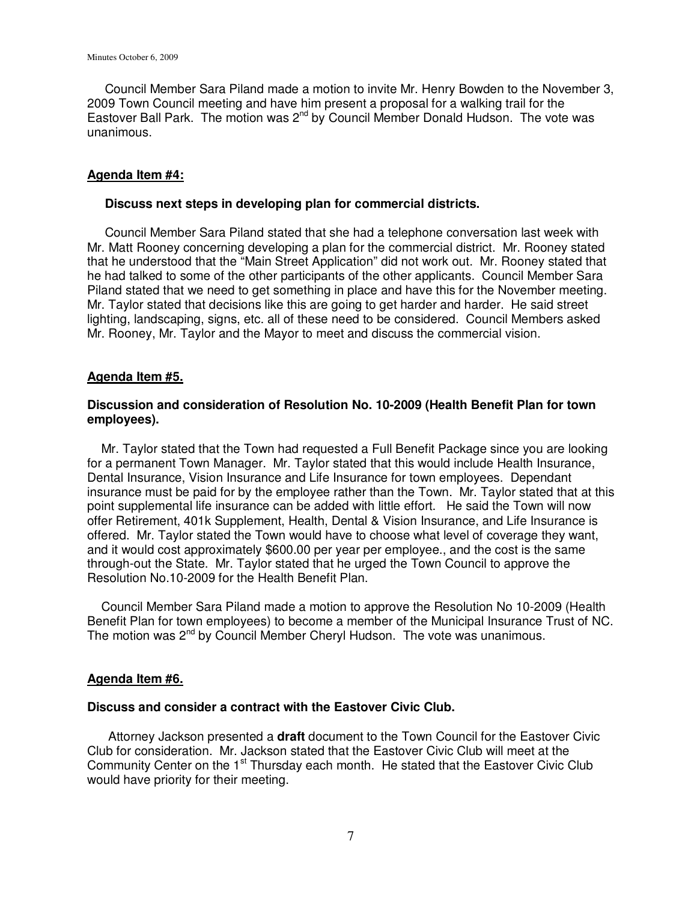Council Member Sara Piland made a motion to invite Mr. Henry Bowden to the November 3, 2009 Town Council meeting and have him present a proposal for a walking trail for the Eastover Ball Park. The motion was 2<sup>nd</sup> by Council Member Donald Hudson. The vote was unanimous.

### **Agenda Item #4:**

#### **Discuss next steps in developing plan for commercial districts.**

 Council Member Sara Piland stated that she had a telephone conversation last week with Mr. Matt Rooney concerning developing a plan for the commercial district. Mr. Rooney stated that he understood that the "Main Street Application" did not work out. Mr. Rooney stated that he had talked to some of the other participants of the other applicants. Council Member Sara Piland stated that we need to get something in place and have this for the November meeting. Mr. Taylor stated that decisions like this are going to get harder and harder. He said street lighting, landscaping, signs, etc. all of these need to be considered. Council Members asked Mr. Rooney, Mr. Taylor and the Mayor to meet and discuss the commercial vision.

## **Agenda Item #5.**

## **Discussion and consideration of Resolution No. 10-2009 (Health Benefit Plan for town employees).**

 Mr. Taylor stated that the Town had requested a Full Benefit Package since you are looking for a permanent Town Manager. Mr. Taylor stated that this would include Health Insurance, Dental Insurance, Vision Insurance and Life Insurance for town employees. Dependant insurance must be paid for by the employee rather than the Town. Mr. Taylor stated that at this point supplemental life insurance can be added with little effort. He said the Town will now offer Retirement, 401k Supplement, Health, Dental & Vision Insurance, and Life Insurance is offered. Mr. Taylor stated the Town would have to choose what level of coverage they want, and it would cost approximately \$600.00 per year per employee., and the cost is the same through-out the State. Mr. Taylor stated that he urged the Town Council to approve the Resolution No.10-2009 for the Health Benefit Plan.

 Council Member Sara Piland made a motion to approve the Resolution No 10-2009 (Health Benefit Plan for town employees) to become a member of the Municipal Insurance Trust of NC. The motion was 2<sup>nd</sup> by Council Member Cheryl Hudson. The vote was unanimous.

## **Agenda Item #6.**

#### **Discuss and consider a contract with the Eastover Civic Club.**

 Attorney Jackson presented a **draft** document to the Town Council for the Eastover Civic Club for consideration. Mr. Jackson stated that the Eastover Civic Club will meet at the Community Center on the 1<sup>st</sup> Thursday each month. He stated that the Eastover Civic Club would have priority for their meeting.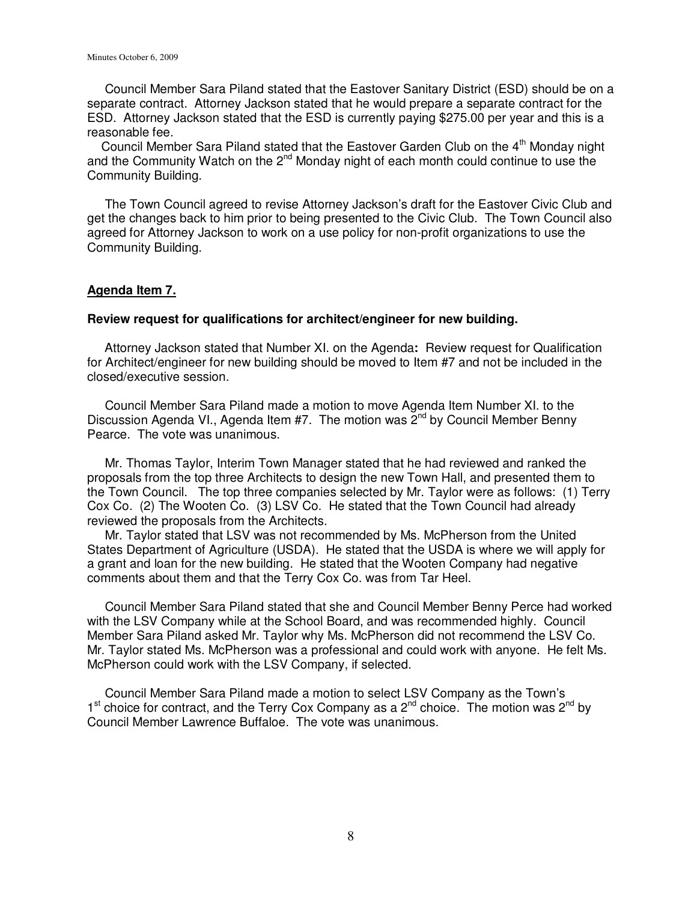Council Member Sara Piland stated that the Eastover Sanitary District (ESD) should be on a separate contract. Attorney Jackson stated that he would prepare a separate contract for the ESD. Attorney Jackson stated that the ESD is currently paying \$275.00 per year and this is a reasonable fee.

Council Member Sara Piland stated that the Eastover Garden Club on the 4<sup>th</sup> Monday night and the Community Watch on the  $2^{nd}$  Monday night of each month could continue to use the Community Building.

 The Town Council agreed to revise Attorney Jackson's draft for the Eastover Civic Club and get the changes back to him prior to being presented to the Civic Club. The Town Council also agreed for Attorney Jackson to work on a use policy for non-profit organizations to use the Community Building.

### **Agenda Item 7.**

#### **Review request for qualifications for architect/engineer for new building.**

Attorney Jackson stated that Number XI. on the Agenda**:** Review request for Qualification for Architect/engineer for new building should be moved to Item #7 and not be included in the closed/executive session.

 Council Member Sara Piland made a motion to move Agenda Item Number XI. to the Discussion Agenda VI., Agenda Item #7. The motion was  $2^{nd}$  by Council Member Benny Pearce. The vote was unanimous.

 Mr. Thomas Taylor, Interim Town Manager stated that he had reviewed and ranked the proposals from the top three Architects to design the new Town Hall, and presented them to the Town Council. The top three companies selected by Mr. Taylor were as follows: (1) Terry Cox Co. (2) The Wooten Co. (3) LSV Co. He stated that the Town Council had already reviewed the proposals from the Architects.

 Mr. Taylor stated that LSV was not recommended by Ms. McPherson from the United States Department of Agriculture (USDA). He stated that the USDA is where we will apply for a grant and loan for the new building. He stated that the Wooten Company had negative comments about them and that the Terry Cox Co. was from Tar Heel.

 Council Member Sara Piland stated that she and Council Member Benny Perce had worked with the LSV Company while at the School Board, and was recommended highly. Council Member Sara Piland asked Mr. Taylor why Ms. McPherson did not recommend the LSV Co. Mr. Taylor stated Ms. McPherson was a professional and could work with anyone. He felt Ms. McPherson could work with the LSV Company, if selected.

 Council Member Sara Piland made a motion to select LSV Company as the Town's  $1<sup>st</sup>$  choice for contract, and the Terry Cox Company as a  $2<sup>nd</sup>$  choice. The motion was  $2<sup>nd</sup>$  by Council Member Lawrence Buffaloe. The vote was unanimous.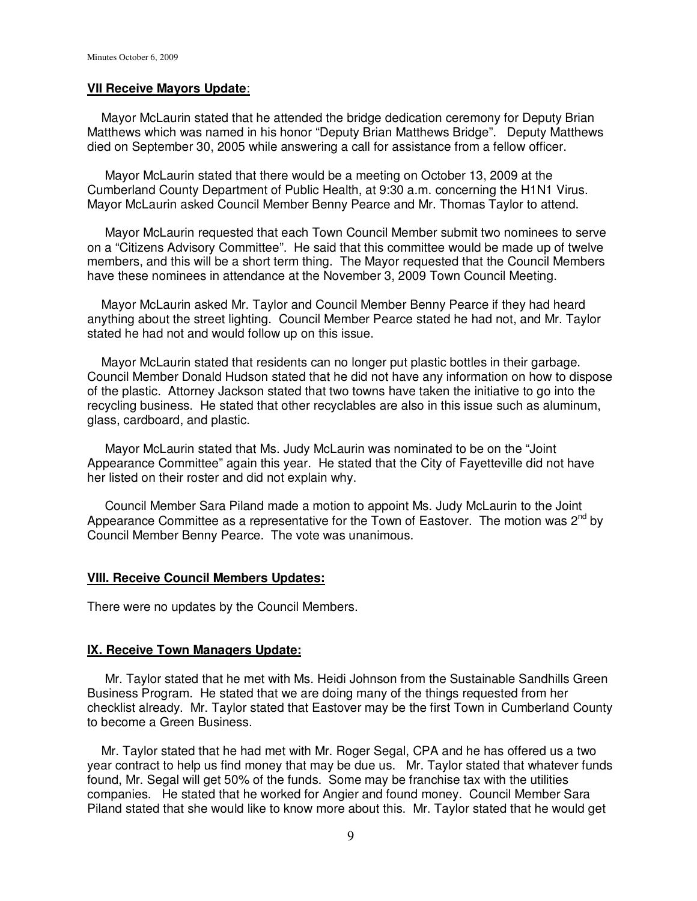### **VII Receive Mayors Update**:

 Mayor McLaurin stated that he attended the bridge dedication ceremony for Deputy Brian Matthews which was named in his honor "Deputy Brian Matthews Bridge". Deputy Matthews died on September 30, 2005 while answering a call for assistance from a fellow officer.

 Mayor McLaurin stated that there would be a meeting on October 13, 2009 at the Cumberland County Department of Public Health, at 9:30 a.m. concerning the H1N1 Virus. Mayor McLaurin asked Council Member Benny Pearce and Mr. Thomas Taylor to attend.

 Mayor McLaurin requested that each Town Council Member submit two nominees to serve on a "Citizens Advisory Committee". He said that this committee would be made up of twelve members, and this will be a short term thing. The Mayor requested that the Council Members have these nominees in attendance at the November 3, 2009 Town Council Meeting.

 Mayor McLaurin asked Mr. Taylor and Council Member Benny Pearce if they had heard anything about the street lighting. Council Member Pearce stated he had not, and Mr. Taylor stated he had not and would follow up on this issue.

 Mayor McLaurin stated that residents can no longer put plastic bottles in their garbage. Council Member Donald Hudson stated that he did not have any information on how to dispose of the plastic. Attorney Jackson stated that two towns have taken the initiative to go into the recycling business. He stated that other recyclables are also in this issue such as aluminum, glass, cardboard, and plastic.

 Mayor McLaurin stated that Ms. Judy McLaurin was nominated to be on the "Joint Appearance Committee" again this year. He stated that the City of Fayetteville did not have her listed on their roster and did not explain why.

 Council Member Sara Piland made a motion to appoint Ms. Judy McLaurin to the Joint Appearance Committee as a representative for the Town of Eastover. The motion was  $2<sup>nd</sup>$  by Council Member Benny Pearce. The vote was unanimous.

### **VIII. Receive Council Members Updates:**

There were no updates by the Council Members.

#### **IX. Receive Town Managers Update:**

 Mr. Taylor stated that he met with Ms. Heidi Johnson from the Sustainable Sandhills Green Business Program. He stated that we are doing many of the things requested from her checklist already. Mr. Taylor stated that Eastover may be the first Town in Cumberland County to become a Green Business.

 Mr. Taylor stated that he had met with Mr. Roger Segal, CPA and he has offered us a two year contract to help us find money that may be due us. Mr. Taylor stated that whatever funds found, Mr. Segal will get 50% of the funds. Some may be franchise tax with the utilities companies. He stated that he worked for Angier and found money. Council Member Sara Piland stated that she would like to know more about this. Mr. Taylor stated that he would get